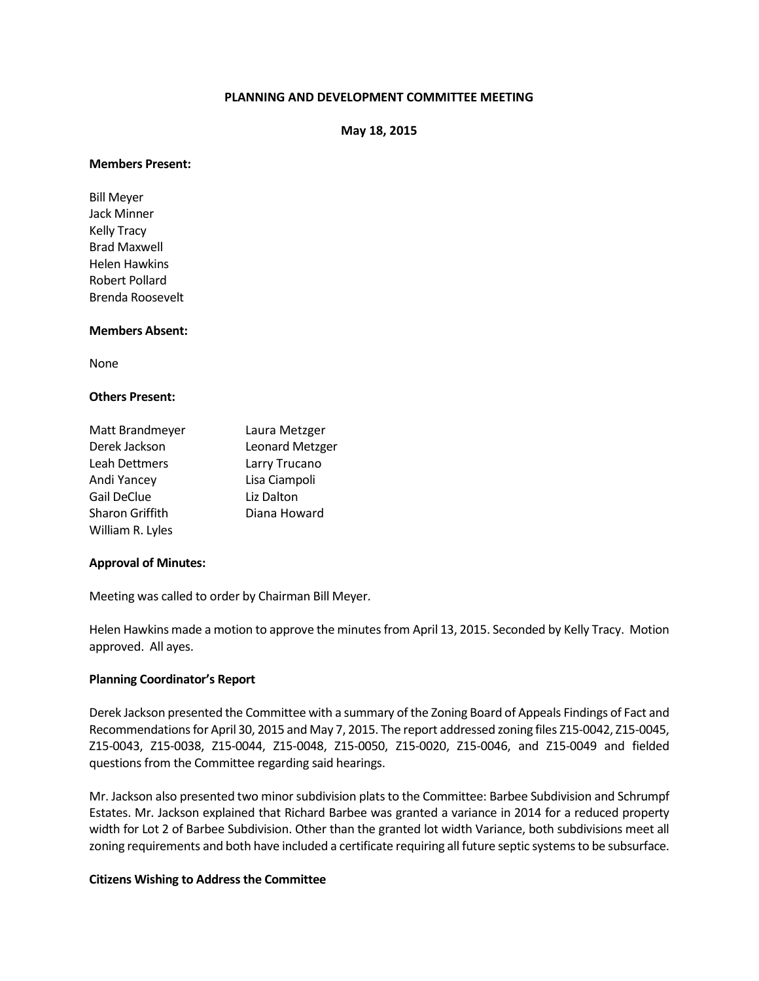## **PLANNING AND DEVELOPMENT COMMITTEE MEETING**

### **May 18, 2015**

#### **Members Present:**

Bill Meyer Jack Minner Kelly Tracy Brad Maxwell Helen Hawkins Robert Pollard Brenda Roosevelt

### **Members Absent:**

None

## **Others Present:**

| Matt Brandmeyer  | Laura Metzger   |
|------------------|-----------------|
| Derek Jackson    | Leonard Metzger |
| Leah Dettmers    | Larry Trucano   |
| Andi Yancey      | Lisa Ciampoli   |
| Gail DeClue      | Liz Dalton      |
| Sharon Griffith  | Diana Howard    |
| William R. Lyles |                 |

#### **Approval of Minutes:**

Meeting was called to order by Chairman Bill Meyer.

Helen Hawkins made a motion to approve the minutes from April 13, 2015. Seconded by Kelly Tracy. Motion approved. All ayes.

#### **Planning Coordinator's Report**

Derek Jackson presented the Committee with a summary of the Zoning Board of Appeals Findings of Fact and Recommendations for April 30, 2015 and May 7, 2015. The report addressed zoning files Z15-0042, Z15-0045, Z15-0043, Z15-0038, Z15-0044, Z15-0048, Z15-0050, Z15-0020, Z15-0046, and Z15-0049 and fielded questions from the Committee regarding said hearings.

Mr. Jackson also presented two minor subdivision plats to the Committee: Barbee Subdivision and Schrumpf Estates. Mr. Jackson explained that Richard Barbee was granted a variance in 2014 for a reduced property width for Lot 2 of Barbee Subdivision. Other than the granted lot width Variance, both subdivisions meet all zoning requirements and both have included a certificate requiring all future septic systems to be subsurface.

### **Citizens Wishing to Address the Committee**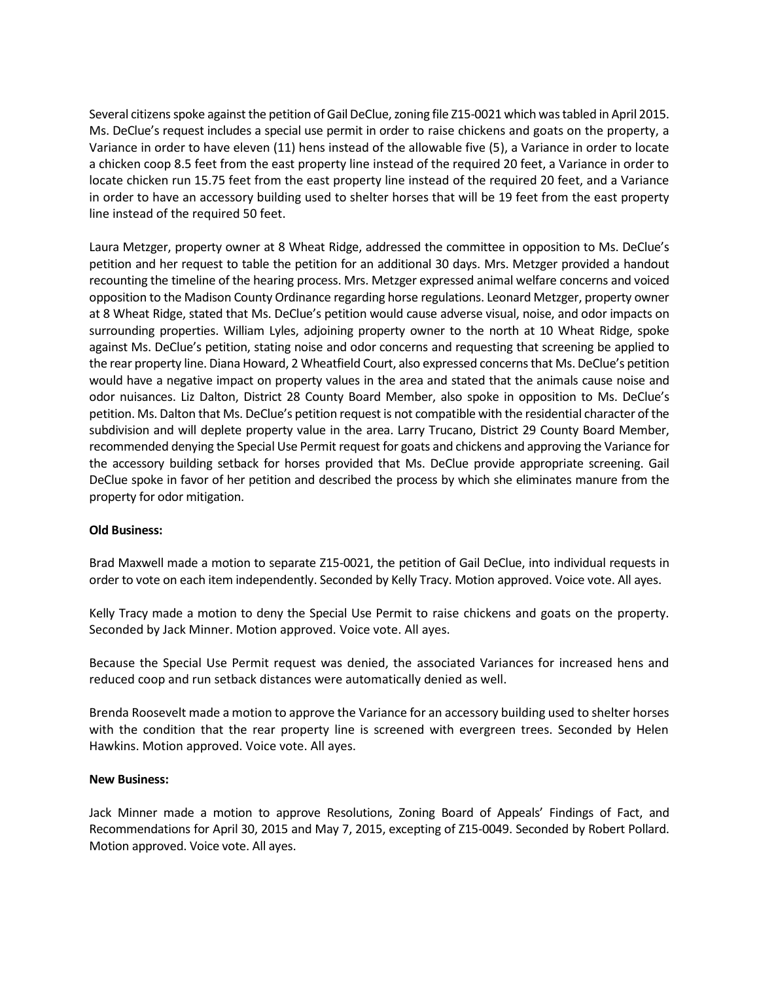Several citizensspoke against the petition of Gail DeClue, zoning file Z15-0021 which was tabled in April 2015. Ms. DeClue's request includes a special use permit in order to raise chickens and goats on the property, a Variance in order to have eleven (11) hens instead of the allowable five (5), a Variance in order to locate a chicken coop 8.5 feet from the east property line instead of the required 20 feet, a Variance in order to locate chicken run 15.75 feet from the east property line instead of the required 20 feet, and a Variance in order to have an accessory building used to shelter horses that will be 19 feet from the east property line instead of the required 50 feet.

Laura Metzger, property owner at 8 Wheat Ridge, addressed the committee in opposition to Ms. DeClue's petition and her request to table the petition for an additional 30 days. Mrs. Metzger provided a handout recounting the timeline of the hearing process. Mrs. Metzger expressed animal welfare concerns and voiced opposition to the Madison County Ordinance regarding horse regulations. Leonard Metzger, property owner at 8 Wheat Ridge, stated that Ms. DeClue's petition would cause adverse visual, noise, and odor impacts on surrounding properties. William Lyles, adjoining property owner to the north at 10 Wheat Ridge, spoke against Ms. DeClue's petition, stating noise and odor concerns and requesting that screening be applied to the rear property line. Diana Howard, 2 Wheatfield Court, also expressed concerns that Ms. DeClue's petition would have a negative impact on property values in the area and stated that the animals cause noise and odor nuisances. Liz Dalton, District 28 County Board Member, also spoke in opposition to Ms. DeClue's petition. Ms. Dalton that Ms. DeClue's petition request is not compatible with the residential character of the subdivision and will deplete property value in the area. Larry Trucano, District 29 County Board Member, recommended denying the Special Use Permit request for goats and chickens and approving the Variance for the accessory building setback for horses provided that Ms. DeClue provide appropriate screening. Gail DeClue spoke in favor of her petition and described the process by which she eliminates manure from the property for odor mitigation.

# **Old Business:**

Brad Maxwell made a motion to separate Z15-0021, the petition of Gail DeClue, into individual requests in order to vote on each item independently. Seconded by Kelly Tracy. Motion approved. Voice vote. All ayes.

Kelly Tracy made a motion to deny the Special Use Permit to raise chickens and goats on the property. Seconded by Jack Minner. Motion approved. Voice vote. All ayes.

Because the Special Use Permit request was denied, the associated Variances for increased hens and reduced coop and run setback distances were automatically denied as well.

Brenda Roosevelt made a motion to approve the Variance for an accessory building used to shelter horses with the condition that the rear property line is screened with evergreen trees. Seconded by Helen Hawkins. Motion approved. Voice vote. All ayes.

### **New Business:**

Jack Minner made a motion to approve Resolutions, Zoning Board of Appeals' Findings of Fact, and Recommendations for April 30, 2015 and May 7, 2015, excepting of Z15-0049. Seconded by Robert Pollard. Motion approved. Voice vote. All ayes.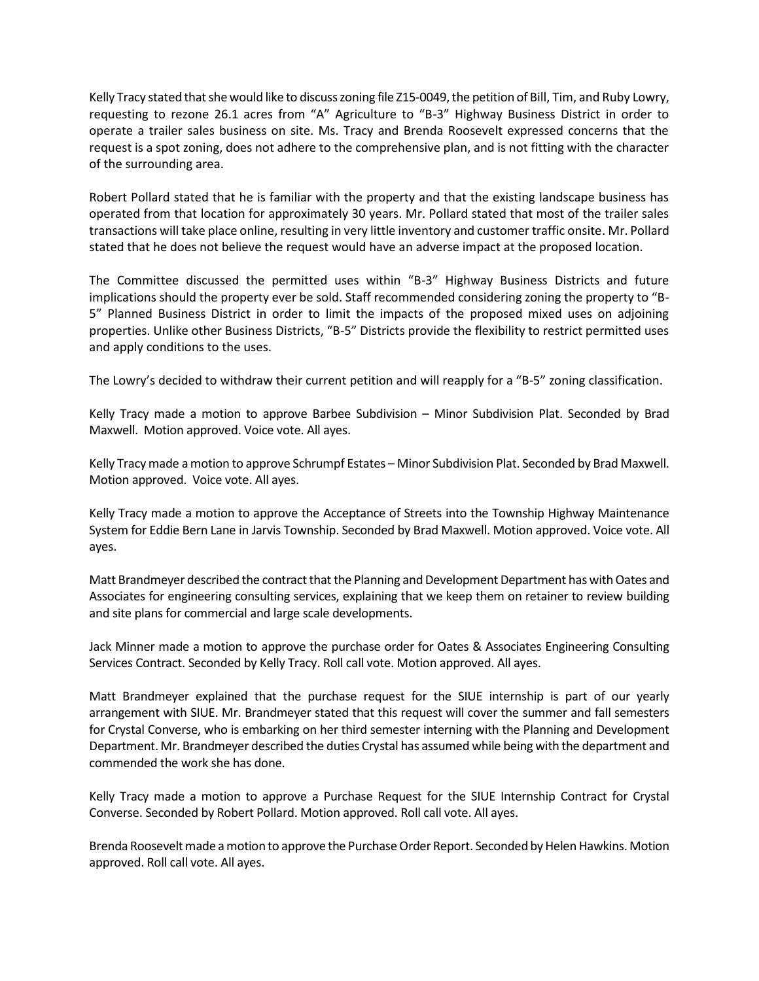Kelly Tracy stated that she would like to discuss zoning file Z15-0049, the petition of Bill, Tim, and Ruby Lowry, requesting to rezone 26.1 acres from "A" Agriculture to "B-3" Highway Business District in order to operate a trailer sales business on site. Ms. Tracy and Brenda Roosevelt expressed concerns that the request is a spot zoning, does not adhere to the comprehensive plan, and is not fitting with the character of the surrounding area.

Robert Pollard stated that he is familiar with the property and that the existing landscape business has operated from that location for approximately 30 years. Mr. Pollard stated that most of the trailer sales transactions will take place online, resulting in very little inventory and customer traffic onsite. Mr. Pollard stated that he does not believe the request would have an adverse impact at the proposed location.

The Committee discussed the permitted uses within "B-3" Highway Business Districts and future implications should the property ever be sold. Staff recommended considering zoning the property to "B- 5" Planned Business District in order to limit the impacts of the proposed mixed uses on adjoining properties. Unlike other Business Districts, "B-5" Districts provide the flexibility to restrict permitted uses and apply conditions to the uses.

The Lowry's decided to withdraw their current petition and will reapply for a "B-5" zoning classification.

Kelly Tracy made a motion to approve Barbee Subdivision – Minor Subdivision Plat. Seconded by Brad Maxwell. Motion approved. Voice vote. All ayes.

Kelly Tracymade a motion to approve Schrumpf Estates – Minor Subdivision Plat. Seconded by Brad Maxwell. Motion approved. Voice vote. All ayes.

Kelly Tracy made a motion to approve the Acceptance of Streets into the Township Highway Maintenance System for Eddie Bern Lane in Jarvis Township. Seconded by Brad Maxwell. Motion approved. Voice vote. All ayes.

Matt Brandmeyer described the contract that the Planning and Development Department has with Oates and Associates for engineering consulting services, explaining that we keep them on retainer to review building and site plans for commercial and large scale developments.

Jack Minner made a motion to approve the purchase order for Oates & Associates Engineering Consulting Services Contract. Seconded by Kelly Tracy. Roll call vote. Motion approved. All ayes.

Matt Brandmeyer explained that the purchase request for the SIUE internship is part of our yearly arrangement with SIUE. Mr. Brandmeyer stated that this request will cover the summer and fall semesters for Crystal Converse, who is embarking on her third semester interning with the Planning and Development Department. Mr. Brandmeyer described the duties Crystal has assumed while being with the department and commended the work she has done.

Kelly Tracy made a motion to approve a Purchase Request for the SIUE Internship Contract for Crystal Converse. Seconded by Robert Pollard. Motion approved. Roll call vote. All ayes.

Brenda Roosevelt made a motion to approve the Purchase Order Report. Seconded by Helen Hawkins. Motion approved. Roll call vote. All ayes.